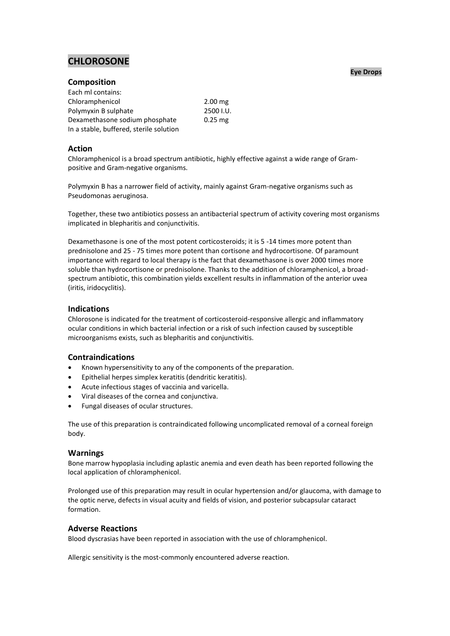# **CHLOROSONE**

# **Composition**

| Each ml contains:                       |           |
|-----------------------------------------|-----------|
| Chloramphenicol                         | $2.00$ mg |
| Polymyxin B sulphate                    | 2500 I.U. |
| Dexamethasone sodium phosphate          | $0.25$ mg |
| In a stable, buffered, sterile solution |           |

## **Action**

Chloramphenicol is a broad spectrum antibiotic, highly effective against a wide range of Grampositive and Gram-negative organisms.

Polymyxin B has a narrower field of activity, mainly against Gram-negative organisms such as Pseudomonas aeruginosa.

Together, these two antibiotics possess an antibacterial spectrum of activity covering most organisms implicated in blepharitis and conjunctivitis.

Dexamethasone is one of the most potent corticosteroids; it is 5 -14 times more potent than prednisolone and 25 - 75 times more potent than cortisone and hydrocortisone. Of paramount importance with regard to local therapy is the fact that dexamethasone is over 2000 times more soluble than hydrocortisone or prednisolone. Thanks to the addition of chloramphenicol, a broadspectrum antibiotic, this combination yields excellent results in inflammation of the anterior uvea (iritis, iridocyclitis).

## **Indications**

Chlorosone is indicated for the treatment of corticosteroid-responsive allergic and inflammatory ocular conditions in which bacterial infection or a risk of such infection caused by susceptible microorganisms exists, such as blepharitis and conjunctivitis.

# **Contraindications**

- Known hypersensitivity to any of the components of the preparation.
- Epithelial herpes simplex keratitis (dendritic keratitis).
- Acute infectious stages of vaccinia and varicella.
- Viral diseases of the cornea and conjunctiva.
- Fungal diseases of ocular structures.

The use of this preparation is contraindicated following uncomplicated removal of a corneal foreign body.

#### **Warnings**

Bone marrow hypoplasia including aplastic anemia and even death has been reported following the local application of chloramphenicol.

Prolonged use of this preparation may result in ocular hypertension and/or glaucoma, with damage to the optic nerve, defects in visual acuity and fields of vision, and posterior subcapsular cataract formation.

## **Adverse Reactions**

Blood dyscrasias have been reported in association with the use of chloramphenicol.

Allergic sensitivity is the most-commonly encountered adverse reaction.

#### **Eye Drops**